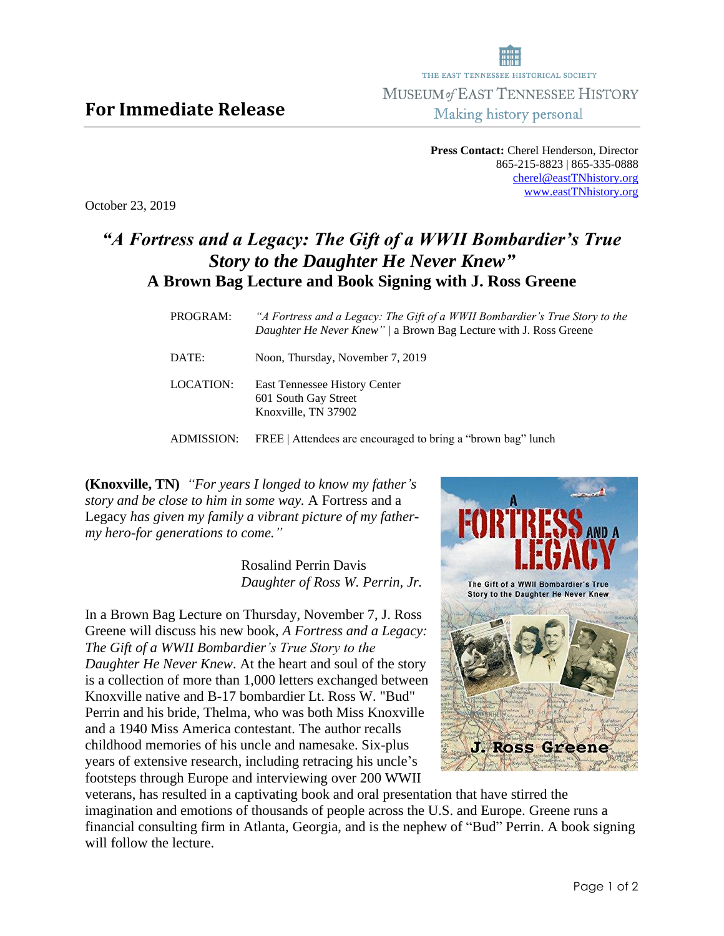**Press Contact:** Cherel Henderson, Director 865-215-8823 | 865-335-0888 [cherel@eastTNhistory.org](mailto:cherel@eastTNhistory.org) [www.eastTNhistory.org](http://www.easttnhistory.org/)

October 23, 2019

## *"A Fortress and a Legacy: The Gift of a WWII Bombardier's True Story to the Daughter He Never Knew"* **A Brown Bag Lecture and Book Signing with J. Ross Greene**

| PROGRAM:   | "A Fortress and a Legacy: The Gift of a WWII Bombardier's True Story to the<br>Daughter He Never Knew" / a Brown Bag Lecture with J. Ross Greene |
|------------|--------------------------------------------------------------------------------------------------------------------------------------------------|
| DATE:      | Noon, Thursday, November 7, 2019                                                                                                                 |
| LOCATION:  | East Tennessee History Center<br>601 South Gay Street<br>Knoxville, TN 37902                                                                     |
| ADMISSION: | FREE   Attendees are encouraged to bring a "brown bag" lunch                                                                                     |

**(Knoxville, TN)** *"For years I longed to know my father's story and be close to him in some way.* A Fortress and a Legacy *has given my family a vibrant picture of my fathermy hero-for generations to come."*

> Rosalind Perrin Davis  *Daughter of Ross W. Perrin, Jr.*

In a Brown Bag Lecture on Thursday, November 7, J. Ross Greene will discuss his new book, *A Fortress and a Legacy: The Gift of a WWII Bombardier's True Story to the Daughter He Never Knew*. At the heart and soul of the story is a collection of more than 1,000 letters exchanged between Knoxville native and B-17 bombardier Lt. Ross W. "Bud" Perrin and his bride, Thelma, who was both Miss Knoxville and a 1940 Miss America contestant. The author recalls childhood memories of his uncle and namesake. Six-plus years of extensive research, including retracing his uncle's footsteps through Europe and interviewing over 200 WWII



veterans, has resulted in a captivating book and oral presentation that have stirred the imagination and emotions of thousands of people across the U.S. and Europe. Greene runs a financial consulting firm in Atlanta, Georgia, and is the nephew of "Bud" Perrin. A book signing will follow the lecture.